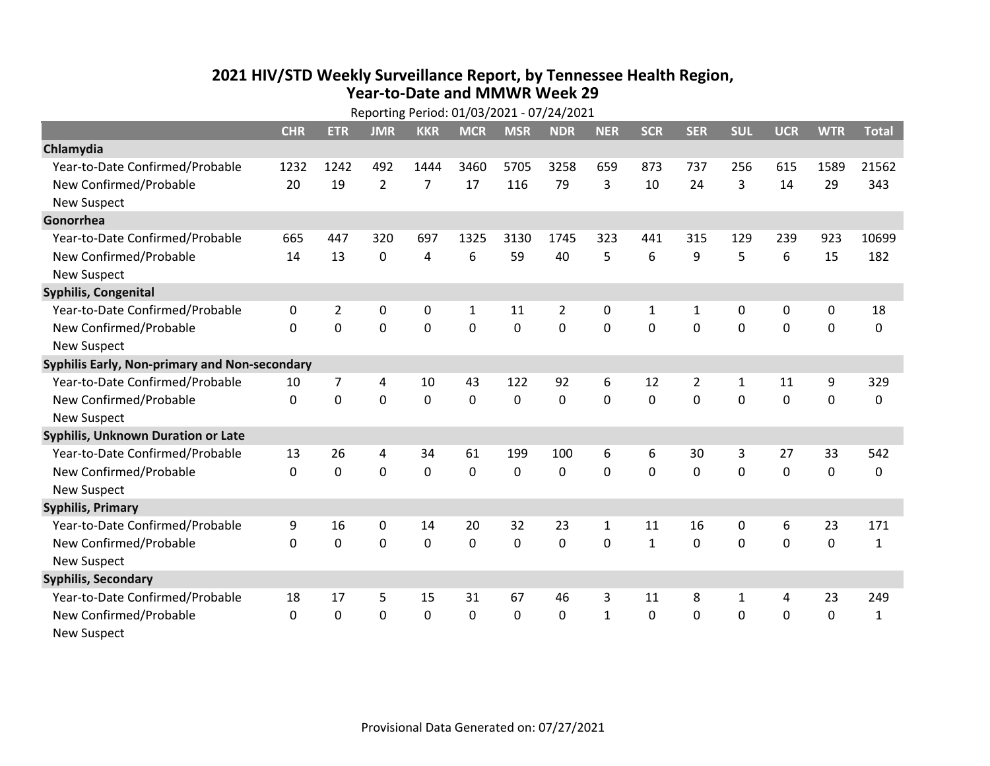## **2021 HIV /STD Weekly Surveillance Report, by Tennessee Health Region, Year‐to‐Date and MMWR Week 29** Reporting Period: 01/03/2021 ‐ 07/24/2021

| Reporting Period: 01/03/2021 - 07/24/2021     |              |                |                |                |              |             |                |              |              |                |            |            |             |              |
|-----------------------------------------------|--------------|----------------|----------------|----------------|--------------|-------------|----------------|--------------|--------------|----------------|------------|------------|-------------|--------------|
|                                               | <b>CHR</b>   | <b>ETR</b>     | <b>JMR</b>     | <b>KKR</b>     | <b>MCR</b>   | <b>MSR</b>  | <b>NDR</b>     | <b>NER</b>   | <b>SCR</b>   | <b>SER</b>     | <b>SUL</b> | <b>UCR</b> | <b>WTR</b>  | <b>Total</b> |
| Chlamydia                                     |              |                |                |                |              |             |                |              |              |                |            |            |             |              |
| Year-to-Date Confirmed/Probable               | 1232         | 1242           | 492            | 1444           | 3460         | 5705        | 3258           | 659          | 873          | 737            | 256        | 615        | 1589        | 21562        |
| New Confirmed/Probable                        | 20           | 19             | $\overline{2}$ | $\overline{7}$ | 17           | 116         | 79             | 3            | 10           | 24             | 3          | 14         | 29          | 343          |
| <b>New Suspect</b>                            |              |                |                |                |              |             |                |              |              |                |            |            |             |              |
| Gonorrhea                                     |              |                |                |                |              |             |                |              |              |                |            |            |             |              |
| Year-to-Date Confirmed/Probable               | 665          | 447            | 320            | 697            | 1325         | 3130        | 1745           | 323          | 441          | 315            | 129        | 239        | 923         | 10699        |
| New Confirmed/Probable                        | 14           | 13             | $\mathbf 0$    | 4              | 6            | 59          | 40             | 5            | 6            | 9              | 5          | 6          | 15          | 182          |
| <b>New Suspect</b>                            |              |                |                |                |              |             |                |              |              |                |            |            |             |              |
| <b>Syphilis, Congenital</b>                   |              |                |                |                |              |             |                |              |              |                |            |            |             |              |
| Year-to-Date Confirmed/Probable               | 0            | $\overline{2}$ | 0              | 0              | $\mathbf{1}$ | 11          | $\overline{2}$ | 0            | 1            | 1              | 0          | 0          | 0           | 18           |
| New Confirmed/Probable                        | $\mathbf{0}$ | 0              | 0              | 0              | $\mathbf 0$  | 0           | 0              | $\mathbf 0$  | 0            | 0              | 0          | 0          | $\mathbf 0$ | 0            |
| <b>New Suspect</b>                            |              |                |                |                |              |             |                |              |              |                |            |            |             |              |
| Syphilis Early, Non-primary and Non-secondary |              |                |                |                |              |             |                |              |              |                |            |            |             |              |
| Year-to-Date Confirmed/Probable               | 10           | 7              | 4              | 10             | 43           | 122         | 92             | 6            | 12           | $\overline{2}$ | 1          | 11         | 9           | 329          |
| New Confirmed/Probable                        | $\Omega$     | 0              | $\Omega$       | 0              | $\mathbf 0$  | $\mathbf 0$ | $\Omega$       | $\Omega$     | $\Omega$     | $\Omega$       | $\Omega$   | 0          | $\mathbf 0$ | 0            |
| <b>New Suspect</b>                            |              |                |                |                |              |             |                |              |              |                |            |            |             |              |
| Syphilis, Unknown Duration or Late            |              |                |                |                |              |             |                |              |              |                |            |            |             |              |
| Year-to-Date Confirmed/Probable               | 13           | 26             | 4              | 34             | 61           | 199         | 100            | 6            | 6            | 30             | 3          | 27         | 33          | 542          |
| New Confirmed/Probable                        | $\Omega$     | $\mathbf 0$    | $\mathbf 0$    | 0              | $\mathbf 0$  | 0           | $\Omega$       | $\Omega$     | $\Omega$     | $\Omega$       | $\Omega$   | 0          | $\mathbf 0$ | 0            |
| <b>New Suspect</b>                            |              |                |                |                |              |             |                |              |              |                |            |            |             |              |
| <b>Syphilis, Primary</b>                      |              |                |                |                |              |             |                |              |              |                |            |            |             |              |
| Year-to-Date Confirmed/Probable               | 9            | 16             | $\mathbf 0$    | 14             | 20           | 32          | 23             | $\mathbf{1}$ | 11           | 16             | 0          | 6          | 23          | 171          |
| New Confirmed/Probable                        | $\Omega$     | 0              | 0              | 0              | $\mathbf 0$  | 0           | 0              | $\Omega$     | $\mathbf{1}$ | $\Omega$       | 0          | $\Omega$   | $\mathbf 0$ | $\mathbf{1}$ |
| <b>New Suspect</b>                            |              |                |                |                |              |             |                |              |              |                |            |            |             |              |
| <b>Syphilis, Secondary</b>                    |              |                |                |                |              |             |                |              |              |                |            |            |             |              |
| Year-to-Date Confirmed/Probable               | 18           | 17             | 5              | 15             | 31           | 67          | 46             | 3            | 11           | 8              | 1          | 4          | 23          | 249          |
| New Confirmed/Probable                        | 0            | 0              | 0              | 0              | $\mathbf 0$  | 0           | 0              | $\mathbf{1}$ | $\mathbf{0}$ | 0              | 0          | 0          | $\mathbf 0$ | $\mathbf{1}$ |
| <b>New Suspect</b>                            |              |                |                |                |              |             |                |              |              |                |            |            |             |              |